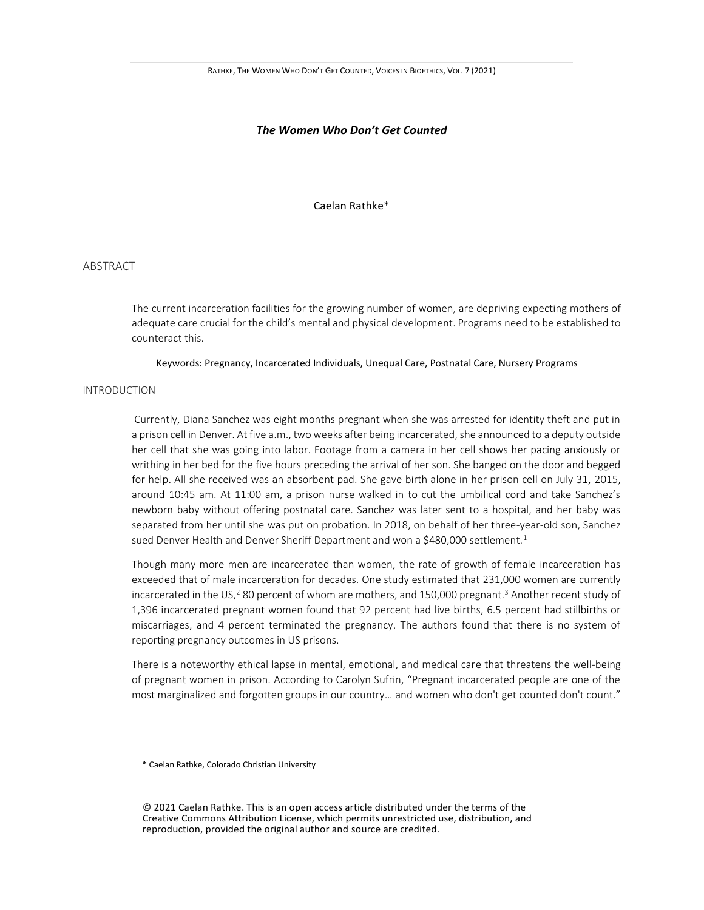## *The Women Who Don't Get Counted*

Caelan Rathke\*

## ABSTRACT

The current incarceration facilities for the growing number of women, are depriving expecting mothers of adequate care crucial for the child's mental and physical development. Programs need to be established to counteract this.

Keywords: Pregnancy, Incarcerated Individuals, Unequal Care, Postnatal Care, Nursery Programs

# INTRODUCTION

Currently, Diana Sanchez was eight months pregnant when she was arrested for identity theft and put in a prison cell in Denver. At five a.m., two weeks after being incarcerated, she announced to a deputy outside her cell that she was going into labor. Footage from a camera in her cell shows her pacing anxiously or writhing in her bed for the five hours preceding the arrival of her son. She banged on the door and begged for help. All she received was an absorbent pad. She gave birth alone in her prison cell on July 31, 2015, around 10:45 am. At 11:00 am, a prison nurse walked in to cut the umbilical cord and take Sanchez's newborn baby without offering postnatal care. Sanchez was later sent to a hospital, and her baby was separated from her until she was put on probation. In 2018, on behalf of her three-year-old son, Sanchez sued Denver Health and Denver Sheriff Department and won a \$480,000 settlement.<sup>1</sup>

Though many more men are incarcerated than women, the rate of growth of female incarceration has exceeded that of male incarceration for decades. One study estimated that 231,000 women are currently incarcerated in the US,<sup>2</sup> 80 percent of whom are mothers, and 150,000 pregnant.<sup>3</sup> Another recent study of 1,396 incarcerated pregnant women found that 92 percent had live births, 6.5 percent had stillbirths or miscarriages, and 4 percent terminated the pregnancy. The authors found that there is no system of reporting pregnancy outcomes in US prisons.

There is a noteworthy ethical lapse in mental, emotional, and medical care that threatens the well-being of pregnant women in prison. According to Carolyn Sufrin, "Pregnant incarcerated people are one of the most marginalized and forgotten groups in our country… and women who don't get counted don't count."

\* Caelan Rathke, Colorado Christian University

© 2021 Caelan Rathke. This is an open access article distributed under the terms of the Creative Commons Attribution License, which permits unrestricted use, distribution, and reproduction, provided the original author and source are credited.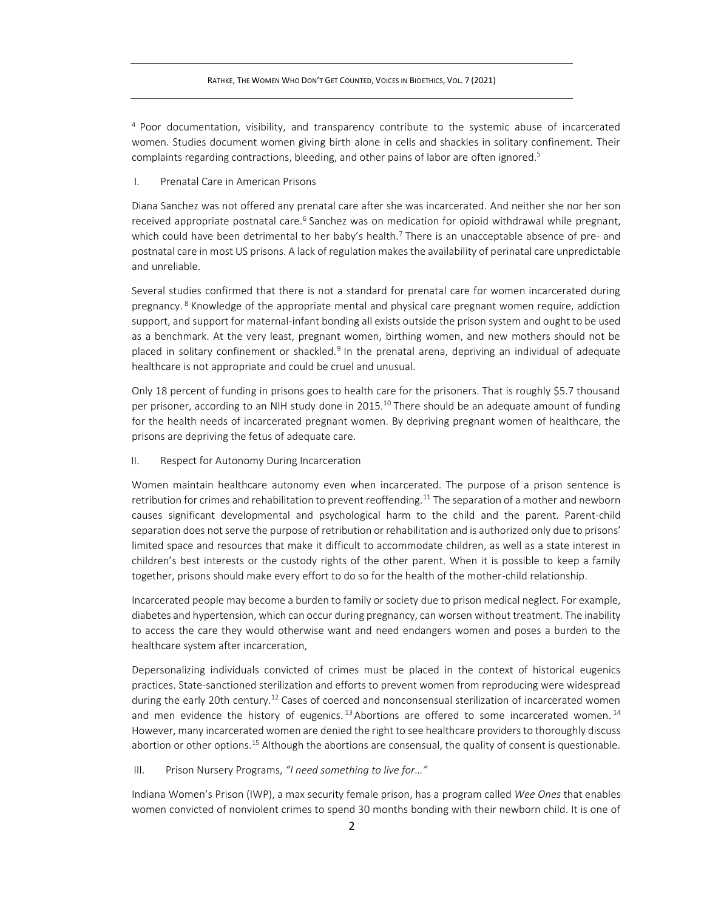<sup>4</sup> Poor documentation, visibility, and transparency contribute to the systemic abuse of incarcerated women. Studies document women giving birth alone in cells and shackles in solitary confinement. Their complaints regarding contractions, bleeding, and other pains of labor are often ignored.<sup>5</sup>

I. Prenatal Care in American Prisons

Diana Sanchez was not offered any prenatal care after she was incarcerated. And neither she nor her son received appropriate postnatal care.<sup>6</sup> Sanchez was on medication for opioid withdrawal while pregnant, which could have been detrimental to her baby's health.<sup>7</sup> There is an unacceptable absence of pre- and postnatal care in most US prisons. A lack of regulation makes the availability of perinatal care unpredictable and unreliable.

Several studies confirmed that there is not a standard for prenatal care for women incarcerated during pregnancy. <sup>8</sup> Knowledge of the appropriate mental and physical care pregnant women require, addiction support, and support for maternal-infant bonding all exists outside the prison system and ought to be used as a benchmark. At the very least, pregnant women, birthing women, and new mothers should not be placed in solitary confinement or shackled.<sup>9</sup> In the prenatal arena, depriving an individual of adequate healthcare is not appropriate and could be cruel and unusual.

Only 18 percent of funding in prisons goes to health care for the prisoners. That is roughly \$5.7 thousand per prisoner, according to an NIH study done in 2015.<sup>10</sup> There should be an adequate amount of funding for the health needs of incarcerated pregnant women. By depriving pregnant women of healthcare, the prisons are depriving the fetus of adequate care.

II. Respect for Autonomy During Incarceration

Women maintain healthcare autonomy even when incarcerated. The purpose of a prison sentence is retribution for crimes and rehabilitation to prevent reoffending.<sup>11</sup> The separation of a mother and newborn causes significant developmental and psychological harm to the child and the parent. Parent-child separation does not serve the purpose of retribution or rehabilitation and is authorized only due to prisons' limited space and resources that make it difficult to accommodate children, as well as a state interest in children's best interests or the custody rights of the other parent. When it is possible to keep a family together, prisons should make every effort to do so for the health of the mother-child relationship.

Incarcerated people may become a burden to family or society due to prison medical neglect. For example, diabetes and hypertension, which can occur during pregnancy, can worsen without treatment. The inability to access the care they would otherwise want and need endangers women and poses a burden to the healthcare system after incarceration,

Depersonalizing individuals convicted of crimes must be placed in the context of historical eugenics practices. State-sanctioned sterilization and efforts to prevent women from reproducing were widespread during the early 20th century.<sup>12</sup> Cases of coerced and nonconsensual sterilization of incarcerated women and men evidence the history of eugenics.  $13$  Abortions are offered to some incarcerated women.  $14$ However, many incarcerated women are denied the right to see healthcare providers to thoroughly discuss abortion or other options.<sup>15</sup> Although the abortions are consensual, the quality of consent is questionable.

III. Prison Nursery Programs, *"I need something to live for…"*

Indiana Women's Prison (IWP), a max security female prison, has a program called *Wee Ones* that enables women convicted of nonviolent crimes to spend 30 months bonding with their newborn child. It is one of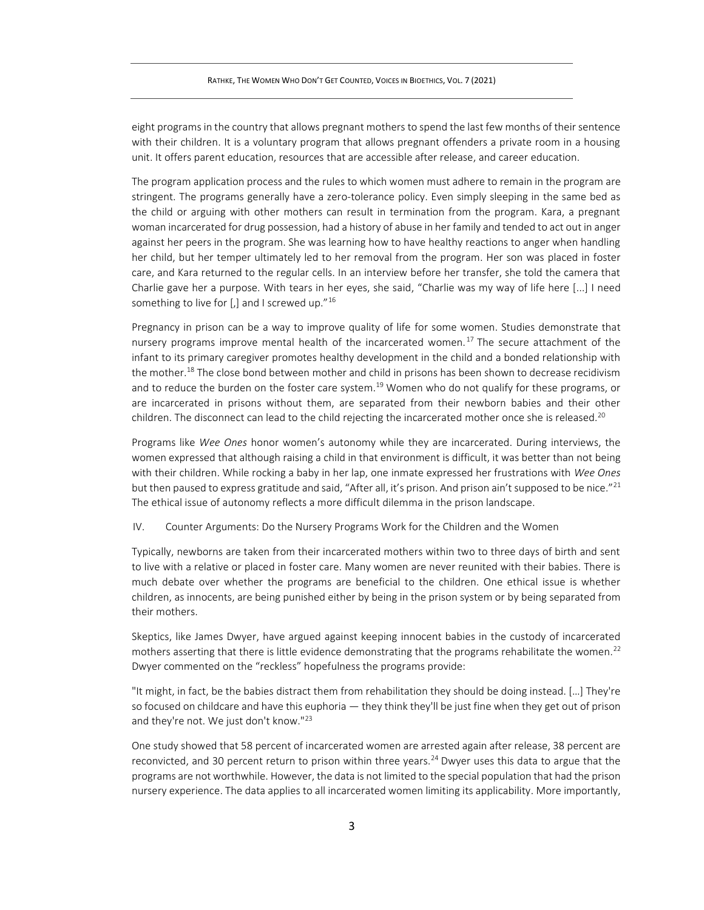eight programs in the country that allows pregnant mothers to spend the last few months of their sentence with their children. It is a voluntary program that allows pregnant offenders a private room in a housing unit. It offers parent education, resources that are accessible after release, and career education.

The program application process and the rules to which women must adhere to remain in the program are stringent. The programs generally have a zero-tolerance policy. Even simply sleeping in the same bed as the child or arguing with other mothers can result in termination from the program. Kara, a pregnant woman incarcerated for drug possession, had a history of abuse in her family and tended to act out in anger against her peers in the program. She was learning how to have healthy reactions to anger when handling her child, but her temper ultimately led to her removal from the program. Her son was placed in foster care, and Kara returned to the regular cells. In an interview before her transfer, she told the camera that Charlie gave her a purpose. With tears in her eyes, she said, "Charlie was my way of life here [...] I need something to live for [,] and I screwed up."<sup>16</sup>

Pregnancy in prison can be a way to improve quality of life for some women. Studies demonstrate that nursery programs improve mental health of the incarcerated women.<sup>17</sup> The secure attachment of the infant to its primary caregiver promotes healthy development in the child and a bonded relationship with the mother.<sup>18</sup> The close bond between mother and child in prisons has been shown to decrease recidivism and to reduce the burden on the foster care system.<sup>19</sup> Women who do not qualify for these programs, or are incarcerated in prisons without them, are separated from their newborn babies and their other children. The disconnect can lead to the child rejecting the incarcerated mother once she is released.<sup>20</sup>

Programs like *Wee Ones* honor women's autonomy while they are incarcerated. During interviews, the women expressed that although raising a child in that environment is difficult, it was better than not being with their children. While rocking a baby in her lap, one inmate expressed her frustrations with *Wee Ones*  but then paused to express gratitude and said, "After all, it's prison. And prison ain't supposed to be nice."<sup>21</sup> The ethical issue of autonomy reflects a more difficult dilemma in the prison landscape.

IV. Counter Arguments: Do the Nursery Programs Work for the Children and the Women

Typically, newborns are taken from their incarcerated mothers within two to three days of birth and sent to live with a relative or placed in foster care. Many women are never reunited with their babies. There is much debate over whether the programs are beneficial to the children. One ethical issue is whether children, as innocents, are being punished either by being in the prison system or by being separated from their mothers.

Skeptics, like James Dwyer, have argued against keeping innocent babies in the custody of incarcerated mothers asserting that there is little evidence demonstrating that the programs rehabilitate the women.<sup>22</sup> Dwyer commented on the "reckless" hopefulness the programs provide:

"It might, in fact, be the babies distract them from rehabilitation they should be doing instead. […] They're so focused on childcare and have this euphoria — they think they'll be just fine when they get out of prison and they're not. We just don't know."<sup>23</sup>

One study showed that 58 percent of incarcerated women are arrested again after release, 38 percent are reconvicted, and 30 percent return to prison within three years.<sup>24</sup> Dwyer uses this data to argue that the programs are not worthwhile. However, the data is not limited to the special population that had the prison nursery experience. The data applies to all incarcerated women limiting its applicability. More importantly,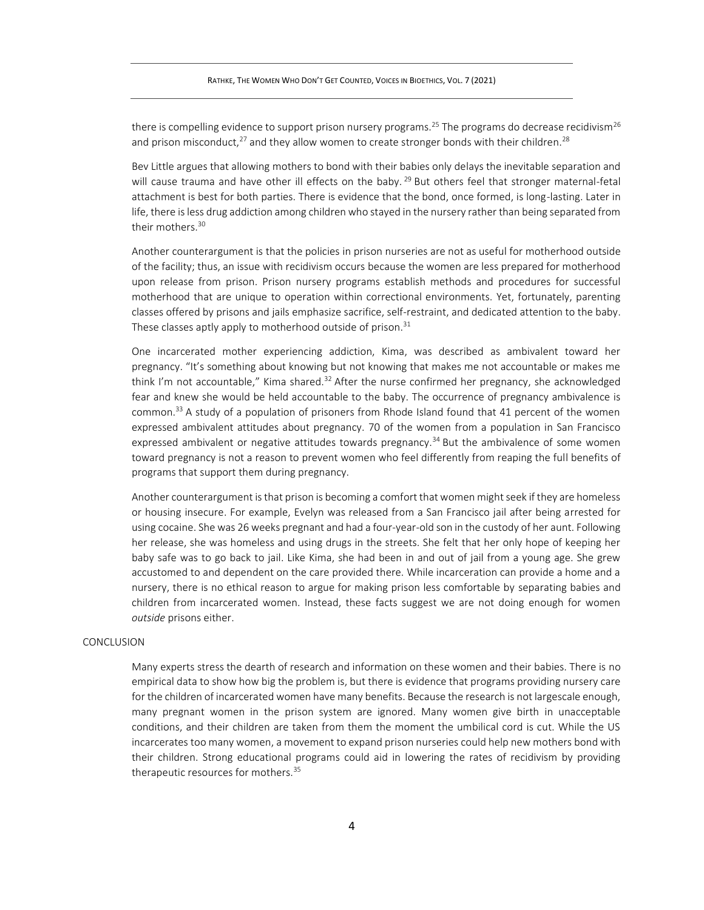there is compelling evidence to support prison nursery programs.<sup>25</sup> The programs do decrease recidivism<sup>26</sup> and prison misconduct,<sup>27</sup> and they allow women to create stronger bonds with their children.<sup>28</sup>

Bev Little argues that allowing mothers to bond with their babies only delays the inevitable separation and will cause trauma and have other ill effects on the baby.<sup>29</sup> But others feel that stronger maternal-fetal attachment is best for both parties. There is evidence that the bond, once formed, is long-lasting. Later in life, there is less drug addiction among children who stayed in the nursery rather than being separated from their mothers.<sup>30</sup>

Another counterargument is that the policies in prison nurseries are not as useful for motherhood outside of the facility; thus, an issue with recidivism occurs because the women are less prepared for motherhood upon release from prison. Prison nursery programs establish methods and procedures for successful motherhood that are unique to operation within correctional environments. Yet, fortunately, parenting classes offered by prisons and jails emphasize sacrifice, self-restraint, and dedicated attention to the baby. These classes aptly apply to motherhood outside of prison.<sup>31</sup>

One incarcerated mother experiencing addiction, Kima, was described as ambivalent toward her pregnancy. "It's something about knowing but not knowing that makes me not accountable or makes me think I'm not accountable," Kima shared.<sup>32</sup> After the nurse confirmed her pregnancy, she acknowledged fear and knew she would be held accountable to the baby. The occurrence of pregnancy ambivalence is common.<sup>33</sup> A study of a population of prisoners from Rhode Island found that 41 percent of the women expressed ambivalent attitudes about pregnancy. 70 of the women from a population in San Francisco expressed ambivalent or negative attitudes towards pregnancy.<sup>34</sup> But the ambivalence of some women toward pregnancy is not a reason to prevent women who feel differently from reaping the full benefits of programs that support them during pregnancy.

Another counterargument is that prison is becoming a comfort that women might seek if they are homeless or housing insecure. For example, Evelyn was released from a San Francisco jail after being arrested for using cocaine. She was 26 weeks pregnant and had a four-year-old son in the custody of her aunt. Following her release, she was homeless and using drugs in the streets. She felt that her only hope of keeping her baby safe was to go back to jail. Like Kima, she had been in and out of jail from a young age. She grew accustomed to and dependent on the care provided there. While incarceration can provide a home and a nursery, there is no ethical reason to argue for making prison less comfortable by separating babies and children from incarcerated women. Instead, these facts suggest we are not doing enough for women *outside* prisons either.

## CONCLUSION

Many experts stress the dearth of research and information on these women and their babies. There is no empirical data to show how big the problem is, but there is evidence that programs providing nursery care for the children of incarcerated women have many benefits. Because the research is not largescale enough, many pregnant women in the prison system are ignored. Many women give birth in unacceptable conditions, and their children are taken from them the moment the umbilical cord is cut. While the US incarcerates too many women, a movement to expand prison nurseries could help new mothers bond with their children. Strong educational programs could aid in lowering the rates of recidivism by providing therapeutic resources for mothers.<sup>35</sup>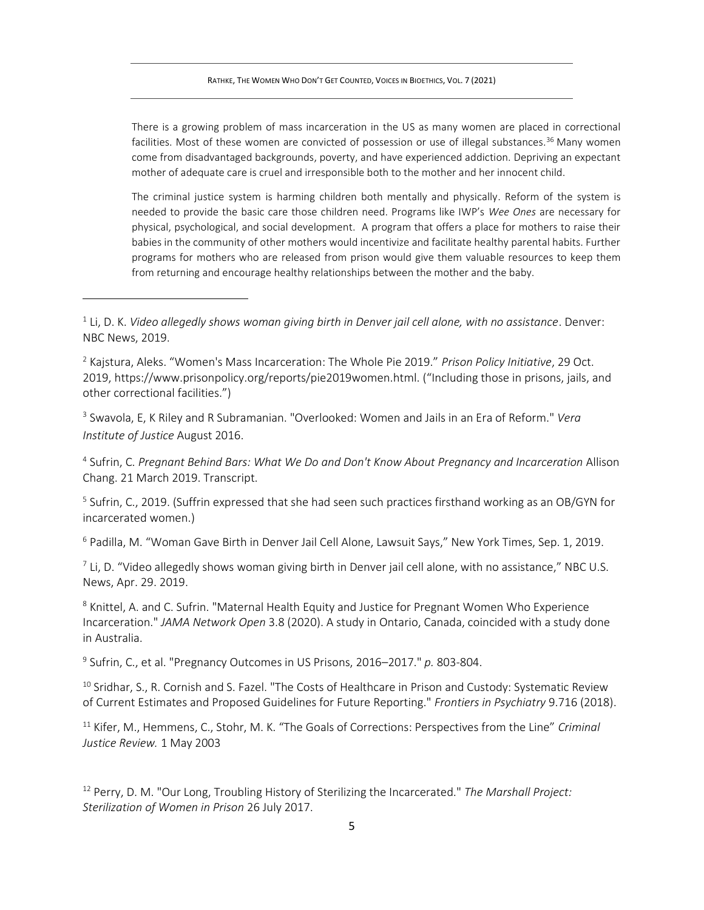There is a growing problem of mass incarceration in the US as many women are placed in correctional facilities. Most of these women are convicted of possession or use of illegal substances.<sup>36</sup> Many women come from disadvantaged backgrounds, poverty, and have experienced addiction. Depriving an expectant mother of adequate care is cruel and irresponsible both to the mother and her innocent child.

The criminal justice system is harming children both mentally and physically. Reform of the system is needed to provide the basic care those children need. Programs like IWP's *Wee Ones* are necessary for physical, psychological, and social development. A program that offers a place for mothers to raise their babies in the community of other mothers would incentivize and facilitate healthy parental habits. Further programs for mothers who are released from prison would give them valuable resources to keep them from returning and encourage healthy relationships between the mother and the baby.

3 Swavola, E, K Riley and R Subramanian. "Overlooked: Women and Jails in an Era of Reform." *Vera Institute of Justice* August 2016.

4 Sufrin, C. *Pregnant Behind Bars: What We Do and Don't Know About Pregnancy and Incarceration* Allison Chang. 21 March 2019. Transcript.

<sup>5</sup> Sufrin, C., 2019. (Suffrin expressed that she had seen such practices firsthand working as an OB/GYN for incarcerated women.)

<sup>6</sup> Padilla, M. "Woman Gave Birth in Denver Jail Cell Alone, Lawsuit Says," New York Times, Sep. 1, 2019.

 $^7$  Li, D. "Video allegedly shows woman giving birth in Denver jail cell alone, with no assistance," NBC U.S. News, Apr. 29. 2019.

<sup>8</sup> Knittel, A. and C. Sufrin. "Maternal Health Equity and Justice for Pregnant Women Who Experience Incarceration." *JAMA Network Open* 3.8 (2020). A study in Ontario, Canada, coincided with a study done in Australia.

9 Sufrin, C., et al. "Pregnancy Outcomes in US Prisons, 2016–2017." *p.* 803-804.

<sup>10</sup> Sridhar, S., R. Cornish and S. Fazel. "The Costs of Healthcare in Prison and Custody: Systematic Review of Current Estimates and Proposed Guidelines for Future Reporting." *Frontiers in Psychiatry* 9.716 (2018).

<sup>11</sup> Kifer, M., Hemmens, C., Stohr, M. K. "The Goals of Corrections: Perspectives from the Line" *Criminal Justice Review.* 1 May 2003

<sup>12</sup> Perry, D. M. "Our Long, Troubling History of Sterilizing the Incarcerated." *The Marshall Project: Sterilization of Women in Prison* 26 July 2017.

<sup>1</sup> Li, D. K. *Video allegedly shows woman giving birth in Denver jail cell alone, with no assistance*. Denver: NBC News, 2019.

<sup>2</sup> Kajstura, Aleks. "Women's Mass Incarceration: The Whole Pie 2019." *Prison Policy Initiative*, 29 Oct. 2019, https://www.prisonpolicy.org/reports/pie2019women.html. ("Including those in prisons, jails, and other correctional facilities.")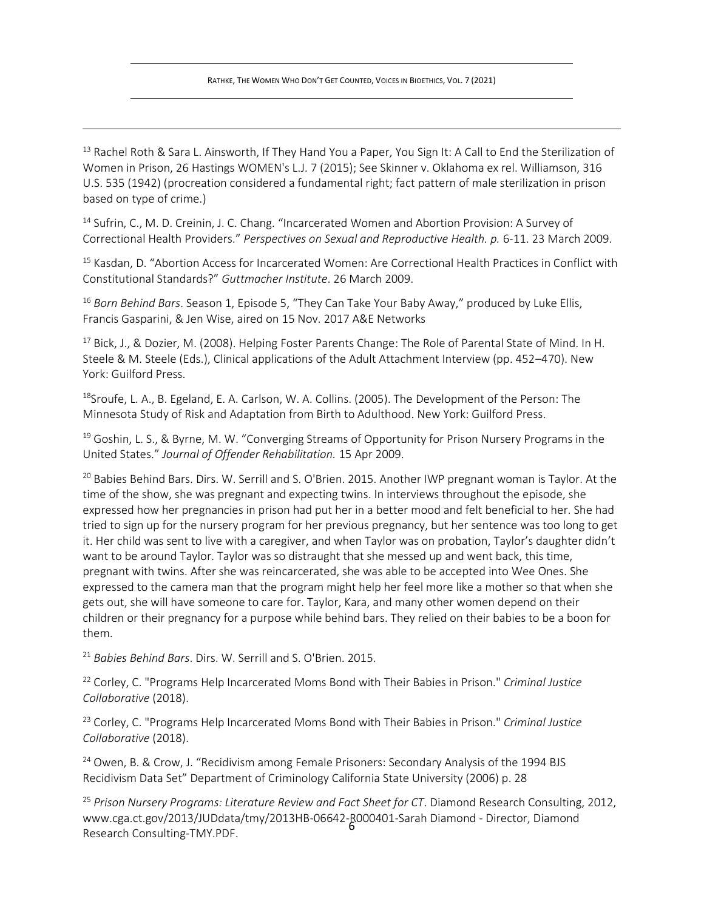<sup>13</sup> Rachel Roth & Sara L. Ainsworth, If They Hand You a Paper, You Sign It: A Call to End the Sterilization of Women in Prison, 26 Hastings WOMEN's L.J. 7 (2015); See Skinner v. Oklahoma ex rel. Williamson, 316 U.S. 535 (1942) (procreation considered a fundamental right; fact pattern of male sterilization in prison based on type of crime.)

<sup>14</sup> Sufrin, C., M. D. Creinin, J. C. Chang. "Incarcerated Women and Abortion Provision: A Survey of Correctional Health Providers." *Perspectives on Sexual and Reproductive Health. p.* 6-11. 23 March 2009.

<sup>15</sup> Kasdan, D. "Abortion Access for Incarcerated Women: Are Correctional Health Practices in Conflict with Constitutional Standards?" *Guttmacher Institute*. 26 March 2009.

<sup>16</sup> Born Behind Bars. Season 1, Episode 5, "They Can Take Your Baby Away," produced by Luke Ellis, Francis Gasparini, & Jen Wise, aired on 15 Nov. 2017 A&E Networks

<sup>17</sup> Bick, J., & Dozier, M. (2008). Helping Foster Parents Change: The Role of Parental State of Mind. In H. Steele & M. Steele (Eds.), Clinical applications of the Adult Attachment Interview (pp. 452–470). New York: Guilford Press.

18Sroufe, L. A., B. Egeland, E. A. Carlson, W. A. Collins. (2005). The Development of the Person: The Minnesota Study of Risk and Adaptation from Birth to Adulthood. New York: Guilford Press.

<sup>19</sup> Goshin, L. S., & Byrne, M. W. "Converging Streams of Opportunity for Prison Nursery Programs in the United States." *Journal of Offender Rehabilitation.* 15 Apr 2009.

<sup>20</sup> Babies Behind Bars. Dirs. W. Serrill and S. O'Brien. 2015. Another IWP pregnant woman is Taylor. At the time of the show, she was pregnant and expecting twins. In interviews throughout the episode, she expressed how her pregnancies in prison had put her in a better mood and felt beneficial to her. She had tried to sign up for the nursery program for her previous pregnancy, but her sentence was too long to get it. Her child was sent to live with a caregiver, and when Taylor was on probation, Taylor's daughter didn't want to be around Taylor. Taylor was so distraught that she messed up and went back, this time, pregnant with twins. After she was reincarcerated, she was able to be accepted into Wee Ones. She expressed to the camera man that the program might help her feel more like a mother so that when she gets out, she will have someone to care for. Taylor, Kara, and many other women depend on their children or their pregnancy for a purpose while behind bars. They relied on their babies to be a boon for them.

<sup>21</sup> *Babies Behind Bars*. Dirs. W. Serrill and S. O'Brien. 2015.

<sup>22</sup> Corley, C. "Programs Help Incarcerated Moms Bond with Their Babies in Prison." *Criminal Justice Collaborative* (2018).

<sup>23</sup> Corley, C. "Programs Help Incarcerated Moms Bond with Their Babies in Prison." *Criminal Justice Collaborative* (2018).

<sup>24</sup> Owen, B. & Crow, J. "Recidivism among Female Prisoners: Secondary Analysis of the 1994 BJS Recidivism Data Set" Department of Criminology California State University (2006) p. 28

www.cga.ct.gov/2013/JUDdata/tmy/2013HB-06642-R000401-Sarah Diamond - Director, Diamond<br>Besearsh Consulting TAAV PDF <sup>25</sup> *Prison Nursery Programs: Literature Review and Fact Sheet for CT*. Diamond Research Consulting, 2012, Research Consulting-TMY.PDF.